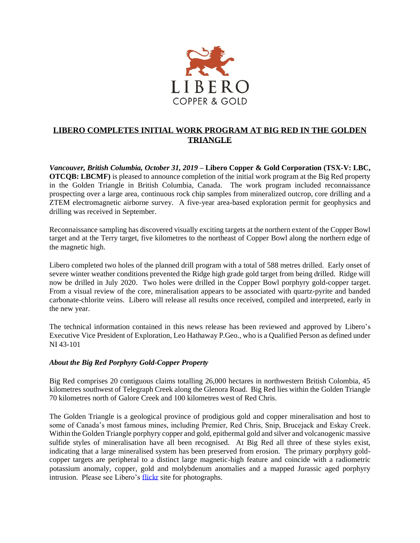

## **LIBERO COMPLETES INITIAL WORK PROGRAM AT BIG RED IN THE GOLDEN TRIANGLE**

*Vancouver, British Columbia, October 31, 2019* **– Libero Copper & Gold Corporation (TSX-V: LBC, OTCQB: LBCMF**) is pleased to announce completion of the initial work program at the Big Red property in the Golden Triangle in British Columbia, Canada. The work program included reconnaissance prospecting over a large area, continuous rock chip samples from mineralized outcrop, core drilling and a ZTEM electromagnetic airborne survey. A five-year area-based exploration permit for geophysics and drilling was received in September.

Reconnaissance sampling has discovered visually exciting targets at the northern extent of the Copper Bowl target and at the Terry target, five kilometres to the northeast of Copper Bowl along the northern edge of the magnetic high.

Libero completed two holes of the planned drill program with a total of 588 metres drilled. Early onset of severe winter weather conditions prevented the Ridge high grade gold target from being drilled. Ridge will now be drilled in July 2020. Two holes were drilled in the Copper Bowl porphyry gold-copper target. From a visual review of the core, mineralisation appears to be associated with quartz-pyrite and banded carbonate-chlorite veins. Libero will release all results once received, compiled and interpreted, early in the new year.

The technical information contained in this news release has been reviewed and approved by Libero's Executive Vice President of Exploration, Leo Hathaway P.Geo., who is a Qualified Person as defined under NI 43-101

## *About the Big Red Porphyry Gold-Copper Property*

Big Red comprises 20 contiguous claims totalling 26,000 hectares in northwestern British Colombia, 45 kilometres southwest of Telegraph Creek along the Glenora Road. Big Red lies within the Golden Triangle 70 kilometres north of Galore Creek and 100 kilometres west of Red Chris.

The Golden Triangle is a geological province of prodigious gold and copper mineralisation and host to some of Canada's most famous mines, including Premier, Red Chris, Snip, Brucejack and Eskay Creek. Within the Golden Triangle porphyry copper and gold, epithermal gold and silver and volcanogenic massive sulfide styles of mineralisation have all been recognised. At Big Red all three of these styles exist, indicating that a large mineralised system has been preserved from erosion. The primary porphyry goldcopper targets are peripheral to a distinct large magnetic-high feature and coincide with a radiometric potassium anomaly, copper, gold and molybdenum anomalies and a mapped Jurassic aged porphyry intrusion. Please see Libero's [flickr](https://www.flickr.com/photos/150654141@N07/albums) site for photographs.